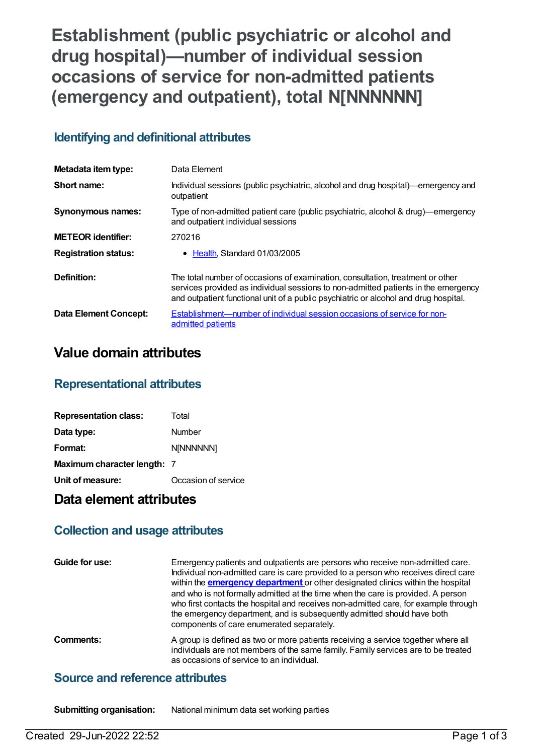# **Establishment (public psychiatric or alcohol and drug hospital)—number of individual session occasions of service for non-admitted patients (emergency and outpatient), total N[NNNNNN]**

## **Identifying and definitional attributes**

| Metadata item type:          | Data Element                                                                                                                                                                                                                                                 |
|------------------------------|--------------------------------------------------------------------------------------------------------------------------------------------------------------------------------------------------------------------------------------------------------------|
| Short name:                  | Individual sessions (public psychiatric, alcohol and drug hospital)—emergency and<br>outpatient                                                                                                                                                              |
| <b>Synonymous names:</b>     | Type of non-admitted patient care (public psychiatric, alcohol & drug)—emergency<br>and outpatient individual sessions                                                                                                                                       |
| <b>METEOR identifier:</b>    | 270216                                                                                                                                                                                                                                                       |
| <b>Registration status:</b>  | • Health Standard 01/03/2005                                                                                                                                                                                                                                 |
| Definition:                  | The total number of occasions of examination, consultation, treatment or other<br>services provided as individual sessions to non-admitted patients in the emergency<br>and outpatient functional unit of a public psychiatric or alcohol and drug hospital. |
| <b>Data Element Concept:</b> | Establishment—number of individual session occasions of service for non-<br>admitted patients                                                                                                                                                                |

## **Value domain attributes**

#### **Representational attributes**

| <b>Representation class:</b> | Total               |
|------------------------------|---------------------|
| Data type:                   | Number              |
| Format:                      | N[NNNNNN]           |
| Maximum character length: 7  |                     |
| Unit of measure:             | Occasion of service |

## **Data element attributes**

## **Collection and usage attributes**

| Guide for use: | Emergency patients and outpatients are persons who receive non-admitted care.<br>Individual non-admitted care is care provided to a person who receives direct care<br>within the <b>emergency department</b> or other designated clinics within the hospital<br>and who is not formally admitted at the time when the care is provided. A person<br>who first contacts the hospital and receives non-admitted care, for example through<br>the emergency department, and is subsequently admitted should have both<br>components of care enumerated separately. |
|----------------|------------------------------------------------------------------------------------------------------------------------------------------------------------------------------------------------------------------------------------------------------------------------------------------------------------------------------------------------------------------------------------------------------------------------------------------------------------------------------------------------------------------------------------------------------------------|
| Comments:      | A group is defined as two or more patients receiving a service together where all<br>individuals are not members of the same family. Family services are to be treated<br>as occasions of service to an individual.                                                                                                                                                                                                                                                                                                                                              |

#### **Source and reference attributes**

**Submitting organisation:** National minimum data set working parties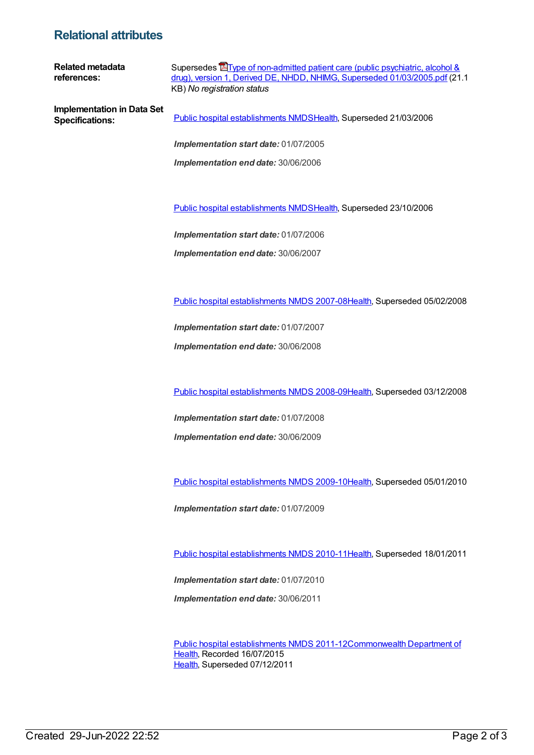#### **Relational attributes**

**Related metadata references:** Supersedes **The of non-admitted patient care (public psychiatric, alcohol &** drug), version 1, Derived DE, NHDD, NHIMG, Superseded [01/03/2005.pdf](https://meteor.aihw.gov.au/content/284780) (21.1 KB) *No registration status* **Implementation in Data Set Specifications:** Public hospital [establishments](https://meteor.aihw.gov.au/content/273047) NMDS[Health](https://meteor.aihw.gov.au/RegistrationAuthority/12), Superseded 21/03/2006 *Implementation start date:* 01/07/2005 *Implementation end date:* 30/06/2006 Public hospital [establishments](https://meteor.aihw.gov.au/content/334285) NMDS[Health](https://meteor.aihw.gov.au/RegistrationAuthority/12), Superseded 23/10/2006 *Implementation start date:* 01/07/2006 *Implementation end date:* 30/06/2007 Public hospital [establishments](https://meteor.aihw.gov.au/content/345139) NMDS 2007-08[Health](https://meteor.aihw.gov.au/RegistrationAuthority/12), Superseded 05/02/2008 *Implementation start date:* 01/07/2007 *Implementation end date:* 30/06/2008 Public hospital [establishments](https://meteor.aihw.gov.au/content/362302) NMDS 2008-09[Health](https://meteor.aihw.gov.au/RegistrationAuthority/12), Superseded 03/12/2008

> *Implementation start date:* 01/07/2008 *Implementation end date:* 30/06/2009

Public hospital [establishments](https://meteor.aihw.gov.au/content/374924) NMDS 2009-10[Health](https://meteor.aihw.gov.au/RegistrationAuthority/12), Superseded 05/01/2010

*Implementation start date:* 01/07/2009

Public hospital [establishments](https://meteor.aihw.gov.au/content/386794) NMDS 2010-11[Health](https://meteor.aihw.gov.au/RegistrationAuthority/12), Superseded 18/01/2011

*Implementation start date:* 01/07/2010

*Implementation end date:* 30/06/2011

Public hospital [establishments](https://meteor.aihw.gov.au/content/426900) NMDS [2011-12Commonwealth](https://meteor.aihw.gov.au/RegistrationAuthority/10) Department of Health, Recorded 16/07/2015 [Health](https://meteor.aihw.gov.au/RegistrationAuthority/12), Superseded 07/12/2011